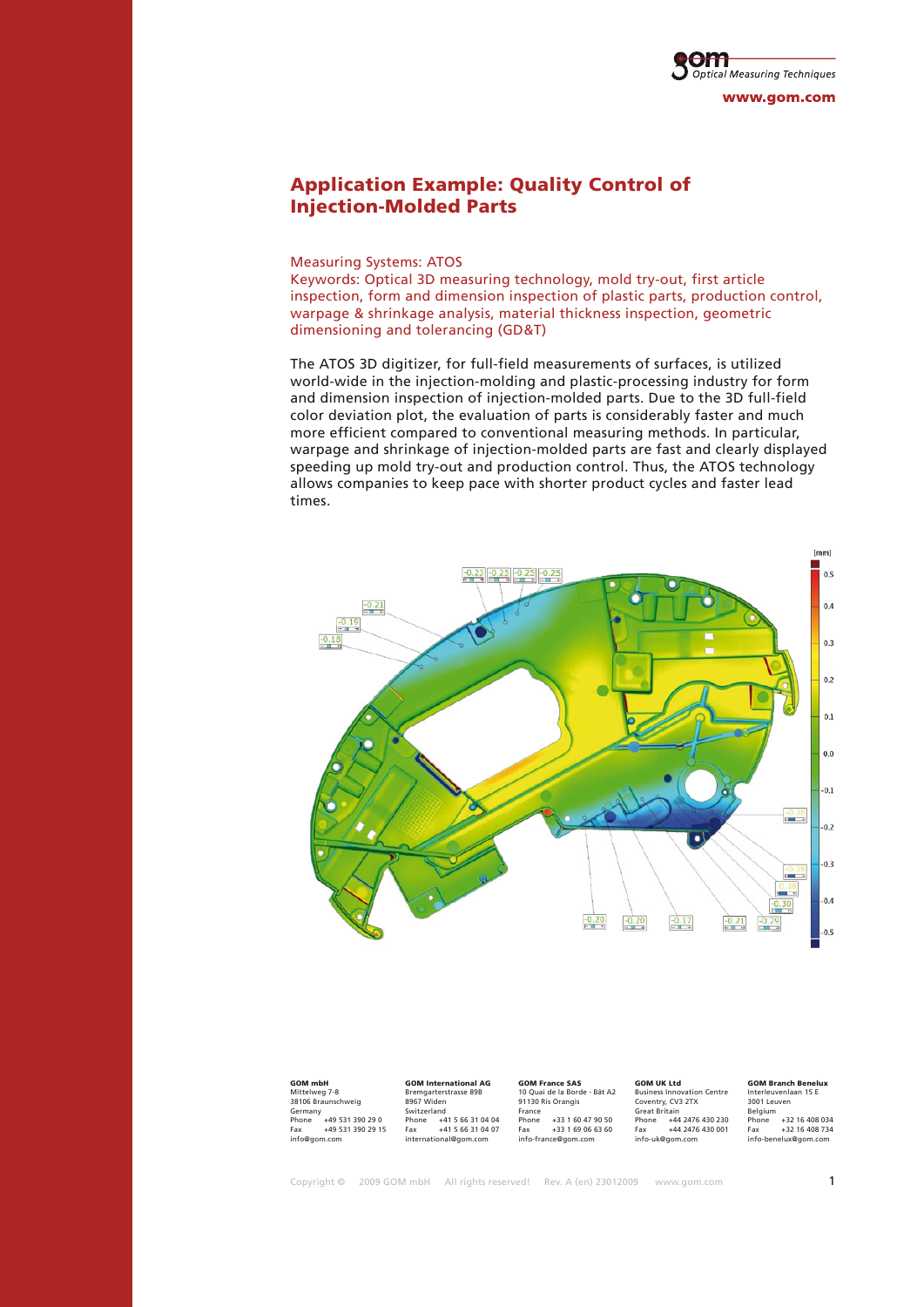

# Application Example: Quality Control of Injection-Molded Parts

Measuring Systems: ATOS

Keywords: Optical 3D measuring technology, mold try-out, first article inspection, form and dimension inspection of plastic parts, production control, warpage & shrinkage analysis, material thickness inspection, geometric dimensioning and tolerancing (GD&T)

The ATOS 3D digitizer, for full-field measurements of surfaces, is utilized world-wide in the injection-molding and plastic-processing industry for form and dimension inspection of injection-molded parts. Due to the 3D full-field color deviation plot, the evaluation of parts is considerably faster and much more efficient compared to conventional measuring methods. In particular, warpage and shrinkage of injection-molded parts are fast and clearly displayed speeding up mold try-out and production control. Thus, the ATOS technology allows companies to keep pace with shorter product cycles and faster lead times.



| <b>GOM mbH</b>     |                   | <b>GOM International AG</b> |                   | <b>GOM France SAS</b>        |                   | <b>GOM UK Ltd</b>                 |                  | <b>GOM Branch Benelux</b> |                |
|--------------------|-------------------|-----------------------------|-------------------|------------------------------|-------------------|-----------------------------------|------------------|---------------------------|----------------|
| Mittelweg 7-8      |                   | Bremgarterstrasse 89B       |                   | 10 Ouai de la Borde - Bât A2 |                   | <b>Business Innovation Centre</b> |                  | Interleuvenlaan 15 F      |                |
| 38106 Braunschweig |                   | 8967 Widen                  |                   | 91130 Ris Orangis            |                   | Coventry, CV3 2TX                 |                  | 3001 Leuven               |                |
| Germany            |                   | Switzerland                 |                   | France                       |                   | <b>Great Britain</b>              |                  | Belaium                   |                |
| Phone              | +49 531 390 29 0  | Phone                       | +41 5 66 31 04 04 | Phone                        | +33 1 60 47 90 50 | Phone                             | +44 2476 430 230 | Phone                     | +32 16 408 034 |
| Fax                | +49 531 390 29 15 | Fax                         | +41 5 66 31 04 07 | Fax                          | $+33169066360$    | Fax                               | +44 2476 430 001 | Fax                       | +32 16 408 734 |
| info@gom.com       |                   | international@gom.com       |                   | info-france@gom.com          |                   | info-uk@aom.com                   |                  | info-benelux@qom.com      |                |

Copyright  $\circledcirc$  2009 GOM mbH All rights reserved! Rev. A (en) 23012009 www.gom.com 1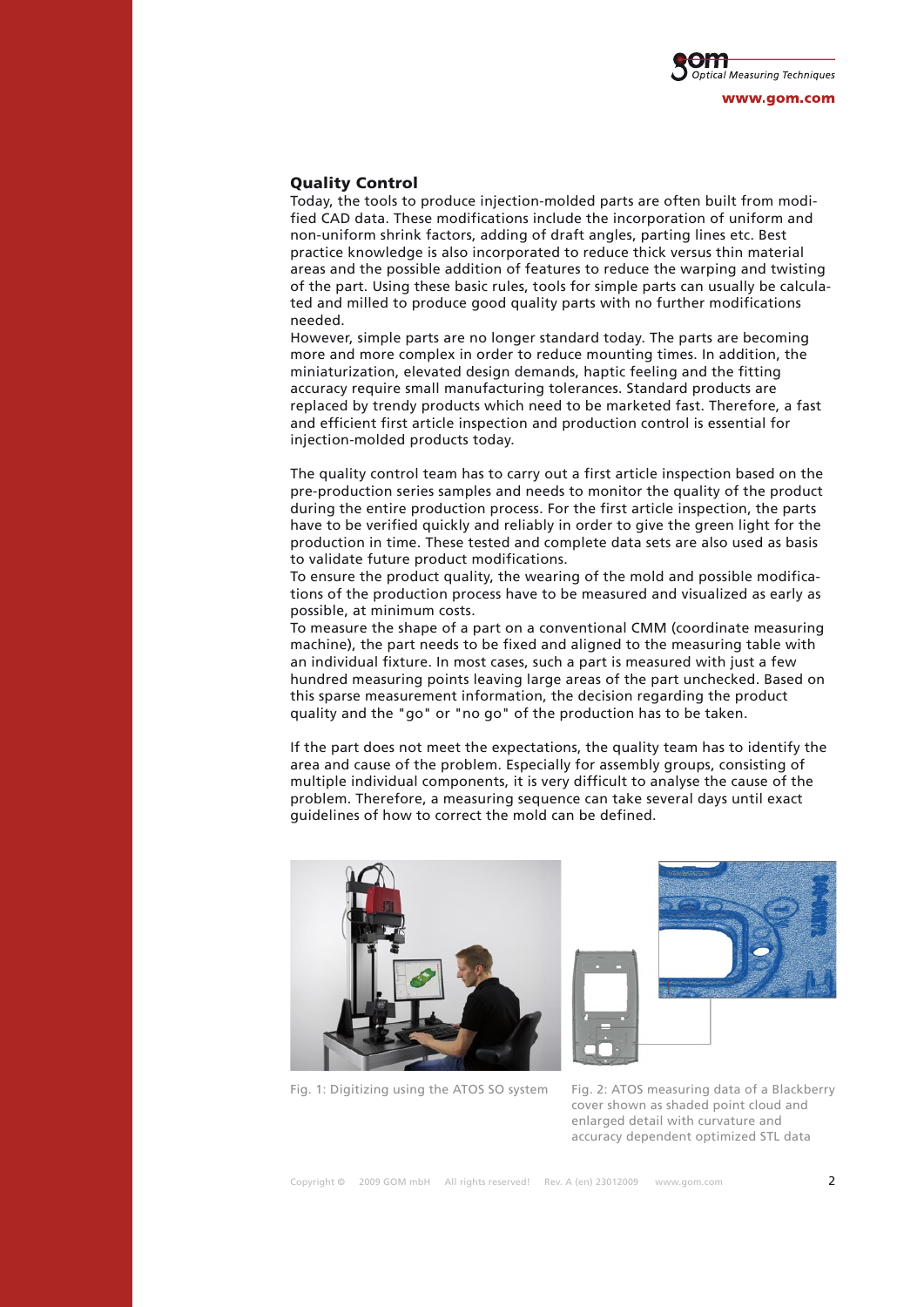

## Quality Control

Today, the tools to produce injection-molded parts are often built from modified CAD data. These modifications include the incorporation of uniform and non-uniform shrink factors, adding of draft angles, parting lines etc. Best practice knowledge is also incorporated to reduce thick versus thin material areas and the possible addition of features to reduce the warping and twisting of the part. Using these basic rules, tools for simple parts can usually be calculated and milled to produce good quality parts with no further modifications needed.

However, simple parts are no longer standard today. The parts are becoming more and more complex in order to reduce mounting times. In addition, the miniaturization, elevated design demands, haptic feeling and the fitting accuracy require small manufacturing tolerances. Standard products are replaced by trendy products which need to be marketed fast. Therefore, a fast and efficient first article inspection and production control is essential for injection-molded products today.

The quality control team has to carry out a first article inspection based on the pre-production series samples and needs to monitor the quality of the product during the entire production process. For the first article inspection, the parts have to be verified quickly and reliably in order to give the green light for the production in time. These tested and complete data sets are also used as basis to validate future product modifications.

To ensure the product quality, the wearing of the mold and possible modifications of the production process have to be measured and visualized as early as possible, at minimum costs.

To measure the shape of a part on a conventional CMM (coordinate measuring machine), the part needs to be fixed and aligned to the measuring table with an individual fixture. In most cases, such a part is measured with just a few hundred measuring points leaving large areas of the part unchecked. Based on this sparse measurement information, the decision regarding the product quality and the "go" or "no go" of the production has to be taken.

If the part does not meet the expectations, the quality team has to identify the area and cause of the problem. Especially for assembly groups, consisting of multiple individual components, it is very difficult to analyse the cause of the problem. Therefore, a measuring sequence can take several days until exact guidelines of how to correct the mold can be defined.



Fig. 1: Digitizing using the ATOS SO system Fig. 2: ATOS measuring data of a Blackberry



cover shown as shaded point cloud and enlarged detail with curvature and accuracy dependent optimized STL data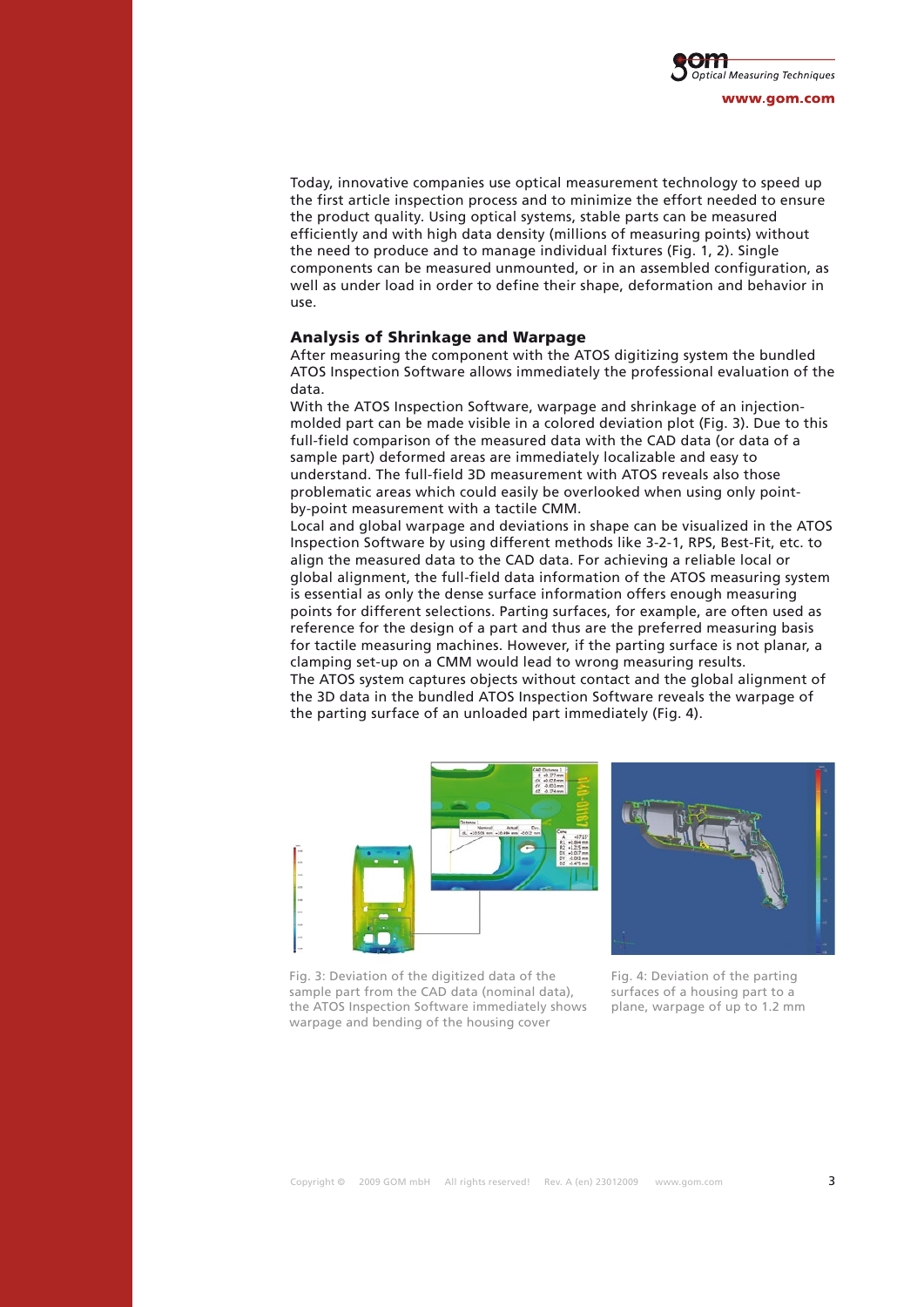

Today, innovative companies use optical measurement technology to speed up the first article inspection process and to minimize the effort needed to ensure the product quality. Using optical systems, stable parts can be measured efficiently and with high data density (millions of measuring points) without the need to produce and to manage individual fixtures (Fig. 1, 2). Single components can be measured unmounted, or in an assembled configuration, as well as under load in order to define their shape, deformation and behavior in use.

#### Analysis of Shrinkage and Warpage

After measuring the component with the ATOS digitizing system the bundled ATOS Inspection Software allows immediately the professional evaluation of the data.

With the ATOS Inspection Software, warpage and shrinkage of an injectionmolded part can be made visible in a colored deviation plot (Fig. 3). Due to this full-field comparison of the measured data with the CAD data (or data of a sample part) deformed areas are immediately localizable and easy to understand. The full-field 3D measurement with ATOS reveals also those problematic areas which could easily be overlooked when using only pointby-point measurement with a tactile CMM.

Local and global warpage and deviations in shape can be visualized in the ATOS Inspection Software by using different methods like 3-2-1, RPS, Best-Fit, etc. to align the measured data to the CAD data. For achieving a reliable local or global alignment, the full-field data information of the ATOS measuring system is essential as only the dense surface information offers enough measuring points for different selections. Parting surfaces, for example, are often used as reference for the design of a part and thus are the preferred measuring basis for tactile measuring machines. However, if the parting surface is not planar, a clamping set-up on a CMM would lead to wrong measuring results. The ATOS system captures objects without contact and the global alignment of the 3D data in the bundled ATOS Inspection Software reveals the warpage of the parting surface of an unloaded part immediately (Fig. 4).







Fig. 4: Deviation of the parting surfaces of a housing part to a plane, warpage of up to 1.2 mm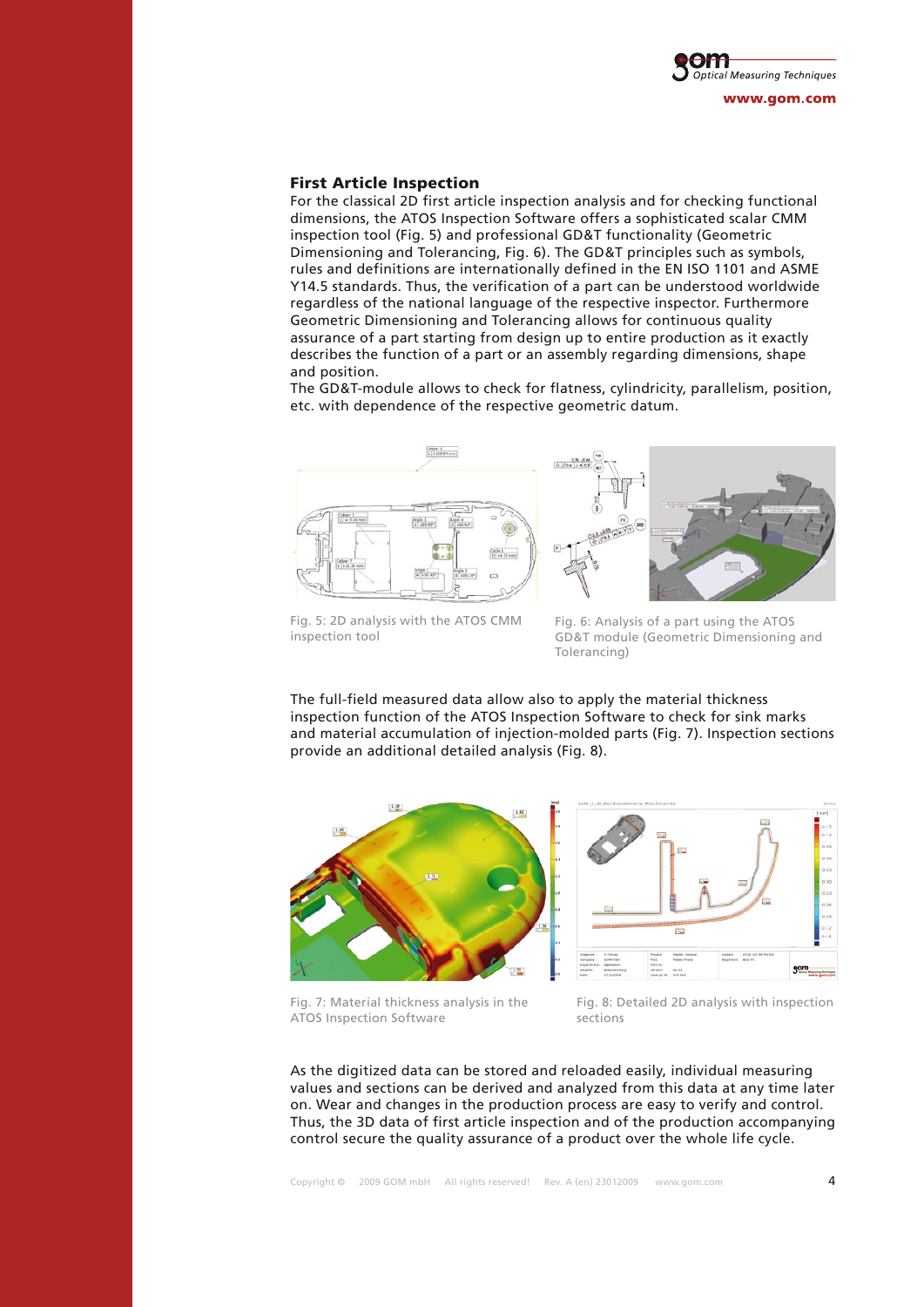

### First Article Inspection

For the classical 2D first article inspection analysis and for checking functional dimensions, the ATOS Inspection Software offers a sophisticated scalar CMM inspection tool (Fig. 5) and professional GD&T functionality (Geometric Dimensioning and Tolerancing, Fig. 6). The GD&T principles such as symbols, rules and definitions are internationally defined in the EN ISO 1101 and ASME Y14.5 standards. Thus, the verification of a part can be understood worldwide regardless of the national language of the respective inspector. Furthermore Geometric Dimensioning and Tolerancing allows for continuous quality assurance of a part starting from design up to entire production as it exactly describes the function of a part or an assembly regarding dimensions, shape and position.

The GD&T-module allows to check for flatness, cylindricity, parallelism, position, etc. with dependence of the respective geometric datum.



Fig. 5: 2D analysis with the ATOS CMM inspection tool

Fig. 6: Analysis of a part using the ATOS GD&T module (Geometric Dimensioning and Tolerancing)

The full-field measured data allow also to apply the material thickness inspection function of the ATOS Inspection Software to check for sink marks and material accumulation of injection-molded parts (Fig. 7). Inspection sections provide an additional detailed analysis (Fig. 8).



Fig. 7: Material thickness analysis in the ATOS Inspection Software

Fig. 8: Detailed 2D analysis with inspection sections

As the digitized data can be stored and reloaded easily, individual measuring values and sections can be derived and analyzed from this data at any time later on. Wear and changes in the production process are easy to verify and control. Thus, the 3D data of first article inspection and of the production accompanying control secure the quality assurance of a product over the whole life cycle.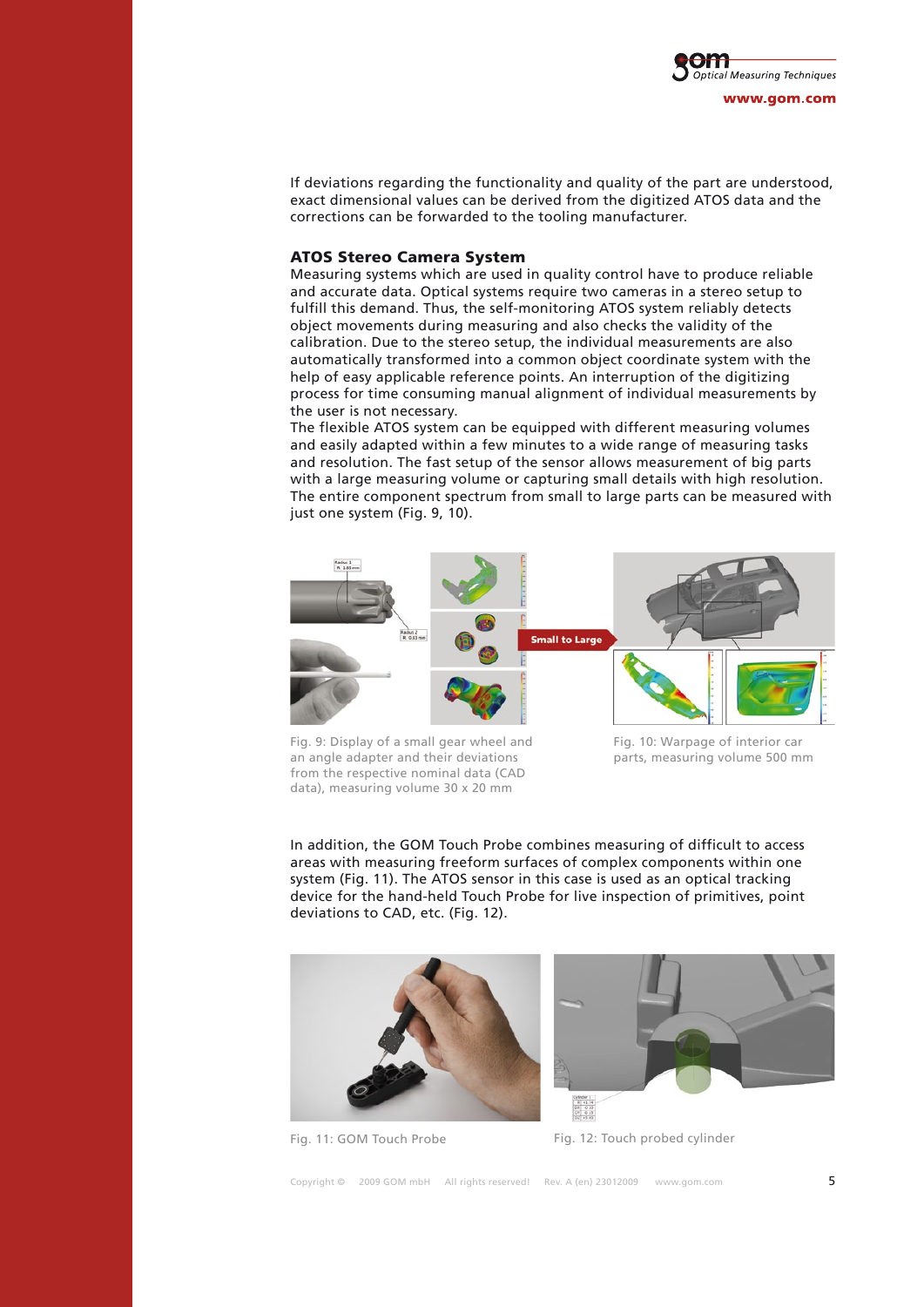

If deviations regarding the functionality and quality of the part are understood, exact dimensional values can be derived from the digitized ATOS data and the corrections can be forwarded to the tooling manufacturer.

### ATOS Stereo Camera System

Measuring systems which are used in quality control have to produce reliable and accurate data. Optical systems require two cameras in a stereo setup to fulfill this demand. Thus, the self-monitoring ATOS system reliably detects object movements during measuring and also checks the validity of the calibration. Due to the stereo setup, the individual measurements are also automatically transformed into a common object coordinate system with the help of easy applicable reference points. An interruption of the digitizing process for time consuming manual alignment of individual measurements by the user is not necessary.

The flexible ATOS system can be equipped with different measuring volumes and easily adapted within a few minutes to a wide range of measuring tasks and resolution. The fast setup of the sensor allows measurement of big parts with a large measuring volume or capturing small details with high resolution. The entire component spectrum from small to large parts can be measured with just one system (Fig. 9, 10).



Fig. 9: Display of a small gear wheel and an angle adapter and their deviations from the respective nominal data (CAD data), measuring volume 30 x 20 mm

Fig. 10: Warpage of interior car parts, measuring volume 500 mm

In addition, the GOM Touch Probe combines measuring of difficult to access areas with measuring freeform surfaces of complex components within one system (Fig. 11). The ATOS sensor in this case is used as an optical tracking device for the hand-held Touch Probe for live inspection of primitives, point deviations to CAD, etc. (Fig. 12).





Fig. 11: GOM Touch Probe Fig. 12: Touch probed cylinder